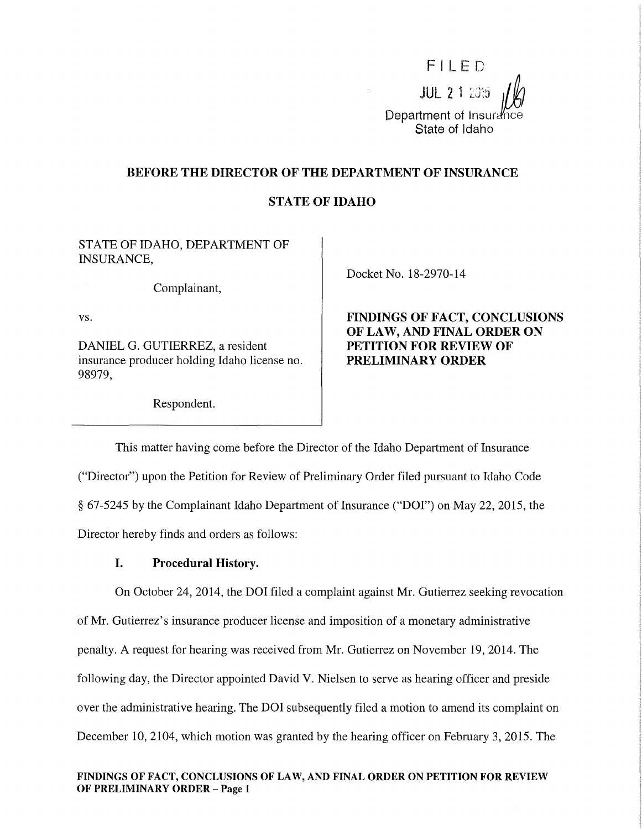

## BEFORE THE DIRECTOR OF THE DEPARTMENT OF INSURANCE

# STATE OF IDAHO

STATE OF IDAHO, DEPARTMENT OF INSURANCE,

Complainant,

vs.

DANIEL G. GUTIERREZ, a resident insurance producer holding Idaho license no. 98979,

Respondent.

Docket No. 18-2970-14

# FINDINGS OF FACT, CONCLUSIONS OF LAW, AND FINAL ORDER ON PETITION FOR REVIEW OF PRELIMINARY ORDER

This matter having come before the Director of the Idaho Department of Insurance ("Director") upon the Petition for Review of Preliminary Order filed pursuant to Idaho Code § 67-5245 by the Complainant Idaho Department of Insurance ("DOI") on May 22, 2015, the Director hereby finds and orders as follows:

## I. Procedural History.

On October 24, 2014, the DOI filed a complaint against Mr. Gutierrez seeking revocation of Mr. Gutierrez's insurance producer license and imposition of a monetary administrative penalty. A request for hearing was received from Mr. Gutierrez on November 19, 2014. The following day, the Director appointed David V. Nielsen to serve as hearing officer and preside over the administrative hearing. The DOI subsequently filed a motion to amend its complaint on December 10, 2104, which motion was granted by the hearing officer on February 3, 2015. The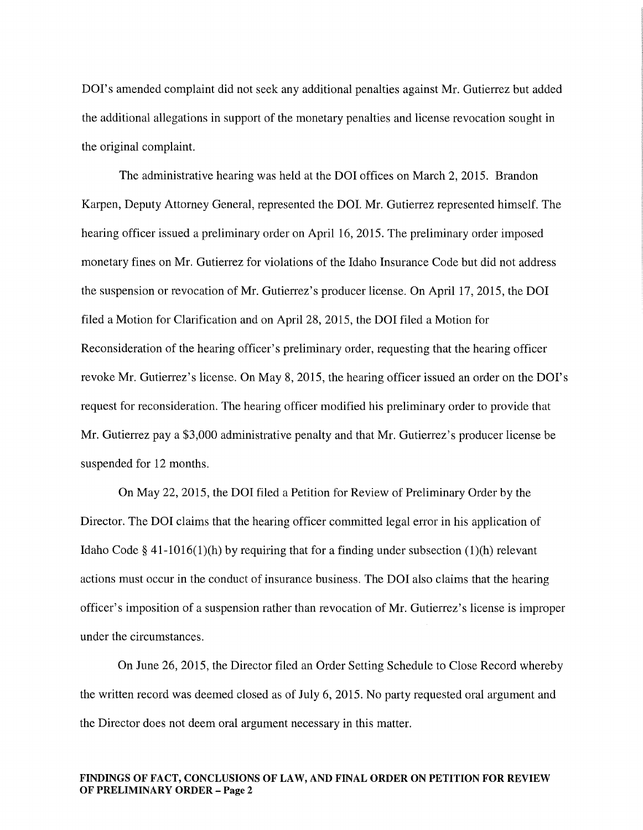DOI's amended complaint did not seek any additional penalties against Mr. Gutierrez but added the additional allegations in support of the monetary penalties and license revocation sought in the original complaint.

The administrative hearing was held at the DOI offices on March 2, 2015. Brandon Karpen, Deputy Attorney General, represented the DOI. Mr. Gutierrez represented himself. The hearing officer issued a preliminary order on April 16, 2015. The preliminary order imposed monetary fines on Mr. Gutierrez for violations of the Idaho Insurance Code but did not address the suspension or revocation of Mr. Gutierrez's producer license. On April 17, 2015, the DOI filed a Motion for Clarification and on April 28, 2015, the DOI filed a Motion for Reconsideration of the hearing officer's preliminary order, requesting that the hearing officer revoke Mr. Gutierrez's license. On May 8, 2015, the hearing officer issued an order on the DOI's request for reconsideration. The hearing officer modified his preliminary order to provide that Mr. Gutierrez pay a \$3,000 administrative penalty and that Mr. Gutierrez's producer license be suspended for 12 months.

On May 22, 2015, the DOI filed a Petition for Review of Preliminary Order by the Director. The DOI claims that the hearing officer committed legal error in his application of Idaho Code § 41-1016(1)(h) by requiring that for a finding under subsection (1)(h) relevant actions must occur in the conduct of insurance business. The DOI also claims that the hearing officer's imposition of a suspension rather than revocation of Mr. Gutierrez's license is improper under the circumstances.

On June 26, 2015, the Director filed an Order Setting Schedule to Close Record whereby the written record was deemed closed as of July 6, 2015. No party requested oral argument and the Director does not deem oral argument necessary in this matter.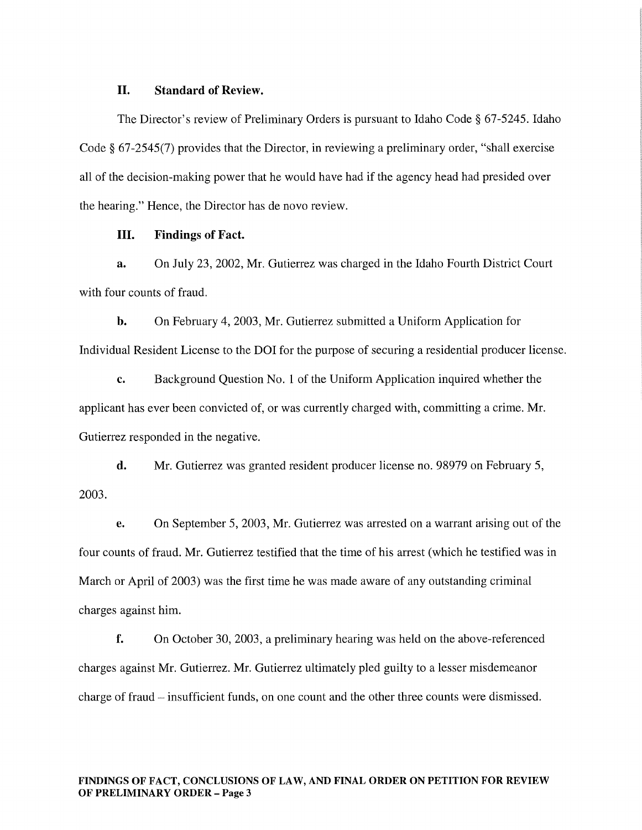### II. Standard of Review.

The Director's review of Preliminary Orders is pursuant to Idaho Code§ 67-5245. Idaho Code§ 67-2545(7) provides that the Director, in reviewing a preliminary order, "shall exercise all of the decision-making power that he would have had if the agency head had presided over the hearing." Hence, the Director has de novo review.

### III. Findings of Fact.

a. On July 23, 2002, Mr. Gutierrez was charged in the Idaho Fourth District Court with four counts of fraud.

b. On February 4, 2003, Mr. Gutierrez submitted a Uniform Application for Individual Resident License to the DOI for the purpose of securing a residential producer license.

c. Background Question No. 1 of the Uniform Application inquired whether the applicant has ever been convicted of, or was currently charged with, committing a crime. Mr. Gutierrez responded in the negative.

d. Mr. Gutierrez was granted resident producer license no. 98979 on February 5, 2003.

e. On September 5, 2003, Mr. Gutierrez was arrested on a warrant arising out of the four counts of fraud. Mr. Gutierrez testified that the time of his arrest (which he testified was in March or April of 2003) was the first time he was made aware of any outstanding criminal charges against him.

f. On October 30, 2003, a preliminary hearing was held on the above-referenced charges against Mr. Gutierrez. Mr. Gutierrez ultimately pled guilty to a lesser misdemeanor charge of fraud – insufficient funds, on one count and the other three counts were dismissed.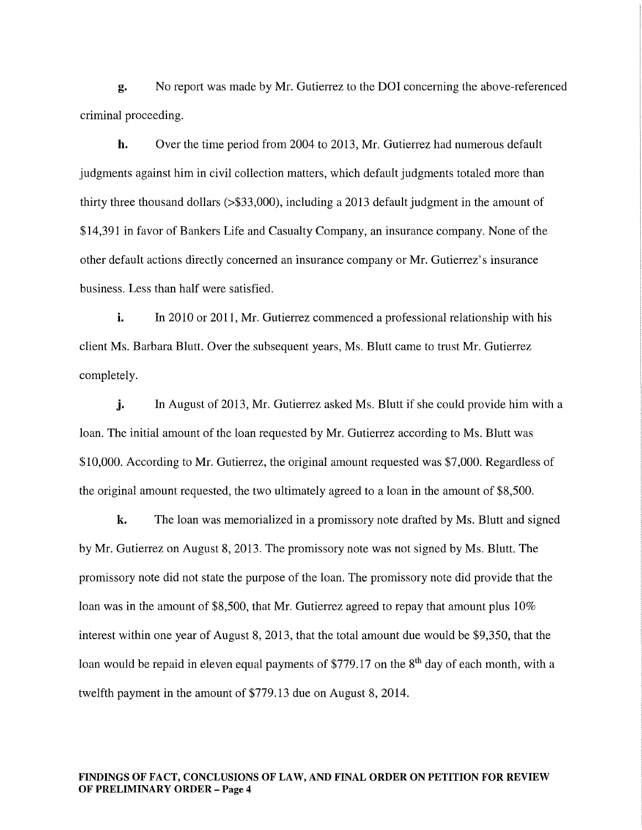g. No report was made by Mr. Gutierrez to the DOI concerning the above-referenced criminal proceeding.

h. Over the time period from 2004 to 2013, Mr. Gutierrez had numerous default judgments against him in civil collection matters, which default judgments totaled more than thirty three thousand dollars (>\$33,000), including a 2013 default judgment in the amount of \$14,391 in favor of Bankers Life and Casualty Company, an insurance company. None of the other default actions directly concerned an insurance company or Mr. Gutierrez's insurance business. Less than half were satisfied.

i. In 2010 or 2011, Mr. Gutierrez commenced a professional relationship with his client Ms. Barbara Blutt. Over the subsequent years, Ms. Blutt came to trust Mr. Gutierrez completely.

j. In August of 2013, Mr. Gutierrez asked Ms. Blutt if she could provide him with a loan. The initial amount of the loan requested by Mr. Gutierrez according to Ms. Blutt was \$10,000. According to Mr. Gutierrez, the original amount requested was \$7,000. Regardless of the original amount requested, the two ultimately agreed to a loan in the amount of \$8,500.

k. The loan was memorialized in a promissory note drafted by Ms. Blutt and signed by Mr. Gutierrez on August 8, 2013. The promissory note was not signed by Ms. Blutt. The promissory note did not state the purpose of the loan. The promissory note did provide that the loan was in the amount of \$8,500, that Mr. Gutierrez agreed to repay that amount plus 10% interest within one year of August 8, 2013, that the total amount due would be \$9,350, that the loan would be repaid in eleven equal payments of \$779.17 on the 8<sup>th</sup> day of each month, with a twelfth payment in the amount of \$779.13 due on August 8, 2014.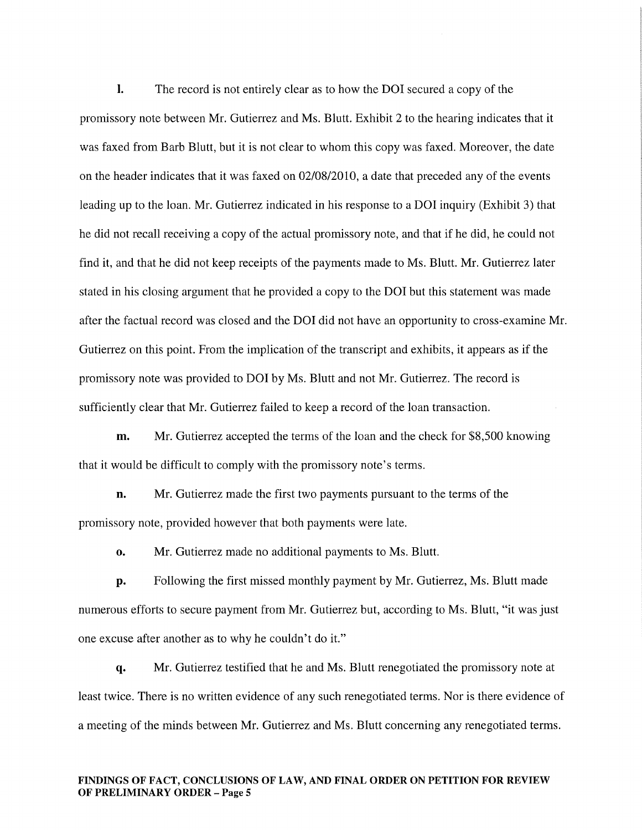I. The record is not entirely clear as to how the DOI secured a copy of the promissory note between Mr. Gutierrez and Ms. Blutt. Exhibit 2 to the hearing indicates that it was faxed from Barb Blutt, but it is not clear to whom this copy was faxed. Moreover, the date on the header indicates that it was faxed on 02/08/2010, a date that preceded any of the events leading up to the loan. Mr. Gutierrez indicated in his response to a DOI inquiry (Exhibit 3) that he did not recall receiving a copy of the actual promissory note, and that if he did, he could not find it, and that he did not keep receipts of the payments made to Ms. Blutt. Mr. Gutierrez later stated in his closing argument that he provided a copy to the DOI but this statement was made after the factual record was closed and the DOI did not have an opportunity to cross-examine Mr. Gutierrez on this point. From the implication of the transcript and exhibits, it appears as if the promissory note was provided to DOI by Ms. Blutt and not Mr. Gutierrez. The record is sufficiently clear that Mr. Gutierrez failed to keep a record of the loan transaction.

m. Mr. Gutierrez accepted the terms of the loan and the check for \$8,500 knowing that it would be difficult to comply with the promissory note's terms.

n. Mr. Gutierrez made the first two payments pursuant to the terms of the promissory note, provided however that both payments were late.

o. Mr. Gutierrez made no additional payments to Ms. Blutt.

p. Following the first missed monthly payment by Mr. Gutierrez, Ms. Blutt made numerous efforts to secure payment from Mr. Gutierrez but, according to Ms. Blutt, "it was just one excuse after another as to why he couldn't do it."

q. Mr. Gutierrez testified that he and Ms. Blutt renegotiated the promissory note at least twice. There is no written evidence of any such renegotiated terms. Nor is there evidence of a meeting of the minds between Mr. Gutierrez and Ms. Blutt concerning any renegotiated terms.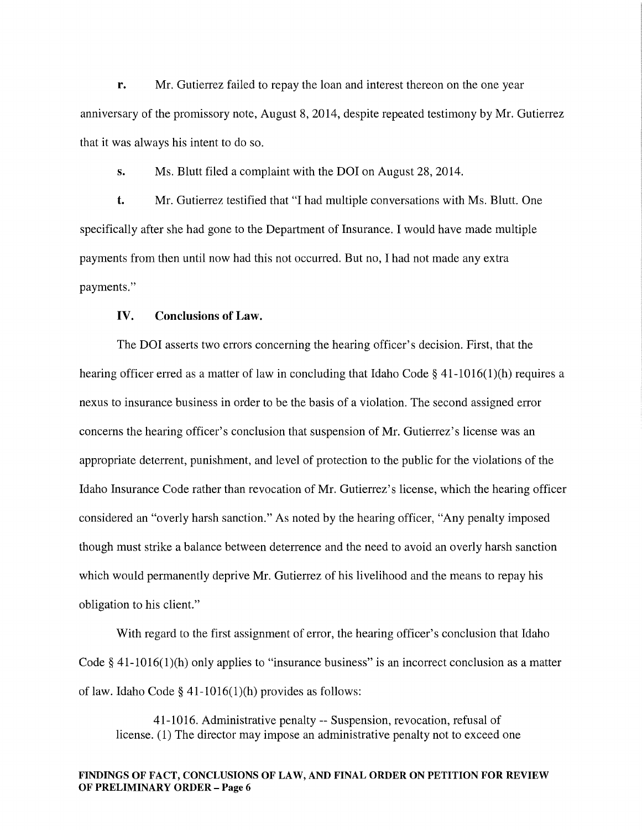r. Mr. Gutierrez failed to repay the loan and interest thereon on the one year anniversary of the promissory note, August 8, 2014, despite repeated testimony by Mr. Gutierrez that it was always his intent to do so.

s. Ms. Blutt filed a complaint with the DOI on August 28, 2014.

t. Mr. Gutierrez testified that "I had multiple conversations with Ms. Blutt. One specifically after she had gone to the Department of Insurance. I would have made multiple payments from then until now had this not occurred. But no, I had not made any extra payments."

### IV. Conclusions of Law.

The DOI asserts two errors concerning the hearing officer's decision. First, that the hearing officer erred as a matter of law in concluding that Idaho Code § 41-1016(1)(h) requires a nexus to insurance business in order to be the basis of a violation. The second assigned error concerns the hearing officer's conclusion that suspension of Mr. Gutierrez's license was an appropriate deterrent, punishment, and level of protection to the public for the violations of the Idaho Insurance Code rather than revocation of Mr. Gutierrez's license, which the hearing officer considered an "overly harsh sanction." As noted by the hearing officer, "Any penalty imposed though must strike a balance between deterrence and the need to avoid an overly harsh sanction which would permanently deprive Mr. Gutierrez of his livelihood and the means to repay his obligation to his client."

With regard to the first assignment of error, the hearing officer's conclusion that Idaho Code§ 41-1016(1)(h) only applies to "insurance business" is an incorrect conclusion as a matter of law. Idaho Code § 41-1016(1)(h) provides as follows:

41-1016. Administrative penalty -- Suspension, revocation, refusal of license. (1) The director may impose an administrative penalty not to exceed one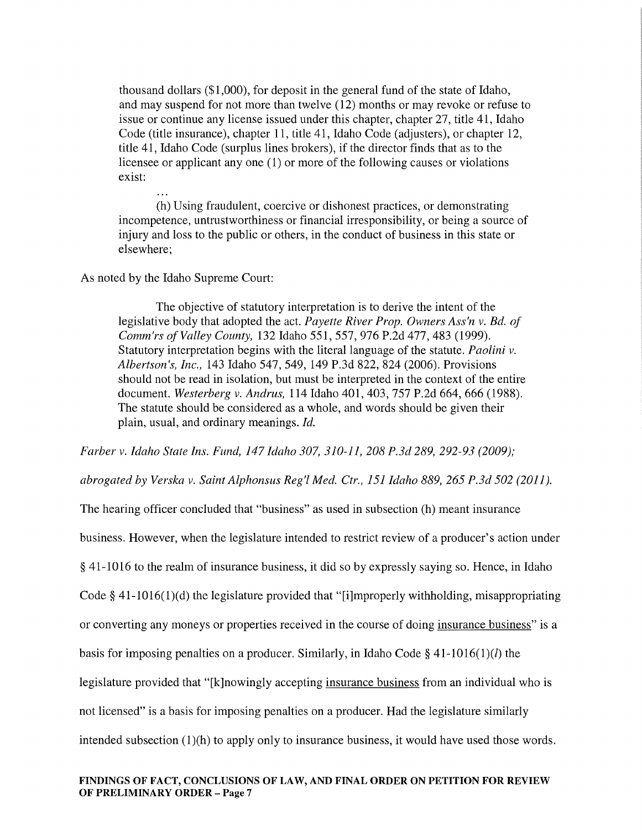thousand dollars (\$1,000), for deposit in the general fund of the state of Idaho, and may suspend for not more than twelve (12) months or may revoke or refuse to issue or continue any license issued under this chapter, chapter 27, title 41, Idaho Code (title insurance), chapter 11, title 41, Idaho Code (adjusters), or chapter 12, title 41, Idaho Code (surplus lines brokers), if the director finds that as to the licensee or applicant any one (1) or more of the following causes or violations exist:

(h) Using fraudulent, coercive or dishonest practices, or demonstrating incompetence, untrustworthiness or financial irresponsibility, or being a source of injury and loss to the public or others, in the conduct of business in this state or elsewhere;

### As noted by the Idaho Supreme Court:

The objective of statutory interpretation is to derive the intent of the legislative body that adopted the act. *Payette River Prop. Owners Ass'n v. Bd. of Comm'rs of Valley County,* 132 Idaho 551, 557, 976 P.2d 477, 483 (1999). Statutory interpretation begins with the literal language of the statute. *Paolini v. Albertson's, Inc.,* 143 Idaho 547, 549, 149 P.3d 822, 824 (2006). Provisions should not be read in isolation, but must be interpreted in the context of the entire document. *Westerberg v. Andrus,* 114 Idaho 401, 403, 757 P.2d 664, 666 (1988). The statute should be considered as a whole, and words should be given their plain, usual, and ordinary meanings. *Id.* 

*Farber v. Idaho State Ins. Fund, 147 Idaho 307, 310-11, 208 P.3d 289, 292-93 (2009);* 

*abrogated by Verska v. Saint Alphonsus Reg'l Med. Ctr., 151Idaho889, 265 P.3d 502 (2011).* 

The hearing officer concluded that "business" as used in subsection (h) meant insurance business. However, when the legislature intended to restrict review of a producer's action under § 41-1016 to the realm of insurance business, it did so by expressly saying so. Hence, in Idaho Code§ 41-1016(1)(d) the legislature provided that "[i]mproperly withholding, misappropriating or converting any moneys or properties received in the course of doing insurance business" is a basis for imposing penalties on a producer. Similarly, in Idaho Code § 41-1016(1)(*l*) the legislature provided that "[k]nowingly accepting insurance business from an individual who is not licensed" is a basis for imposing penalties on a producer. Had the legislature similarly intended subsection  $(1)(h)$  to apply only to insurance business, it would have used those words.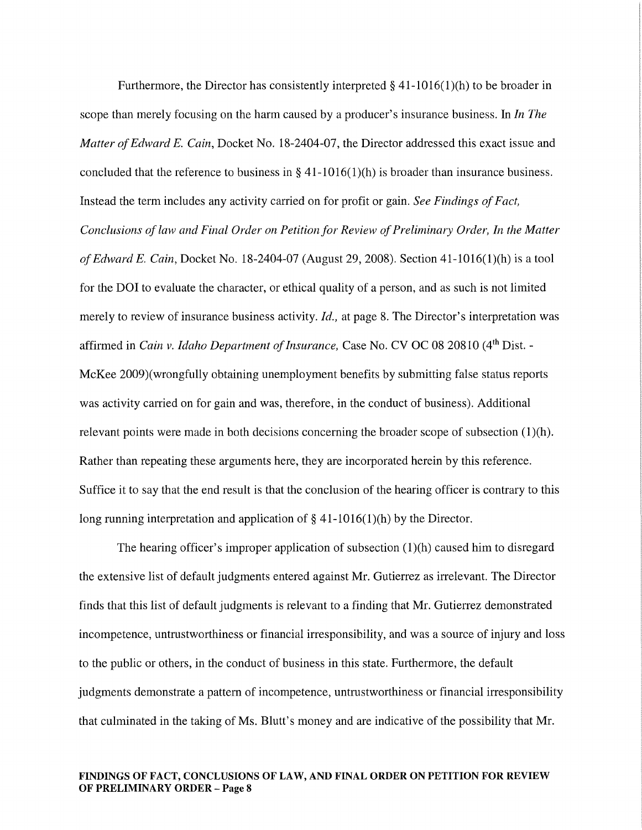Furthermore, the Director has consistently interpreted  $\S$  41-1016(1)(h) to be broader in scope than merely focusing on the harm caused by a producer's insurance business. In *In The Matter of Edward E. Cain,* Docket No. 18-2404-07, the Director addressed this exact issue and concluded that the reference to business in  $\S$  41-1016(1)(h) is broader than insurance business. Instead the term includes any activity carried on for profit or gain. *See Findings of Fact, Conclusions of law and Final Order on Petition for Review of Preliminary Order, In the Matter of Edward E. Cain,* Docket No. 18-2404-07 (August 29, 2008). Section 41-1016(l)(h) is a tool for the DOI to evaluate the character, or ethical quality of a person, and as such is not limited merely to review of insurance business activity. *Id.,* at page 8. The Director's interpretation was affirmed in *Cain v. Idaho Department of Insurance, C*ase No. CV OC 08 20810 (4<sup>th</sup> Dist. -McKee 2009)(wrongfully obtaining unemployment benefits by submitting false status reports was activity carried on for gain and was, therefore, in the conduct of business). Additional relevant points were made in both decisions concerning the broader scope of subsection  $(1)(h)$ . Rather than repeating these arguments here, they are incorporated herein by this reference. Suffice it to say that the end result is that the conclusion of the hearing officer is contrary to this long running interpretation and application of  $\S$  41-1016(1)(h) by the Director.

The hearing officer's improper application of subsection  $(1)(h)$  caused him to disregard the extensive list of default judgments entered against Mr. Gutierrez as irrelevant. The Director finds that this list of default judgments is relevant to a finding that Mr. Gutierrez demonstrated incompetence, untrustworthiness or financial irresponsibility, and was a source of injury and loss to the public or others, in the conduct of business in this state. Furthermore, the default judgments demonstrate a pattern of incompetence, untrustworthiness or financial irresponsibility that culminated in the taking of Ms. Blutt's money and are indicative of the possibility that Mr.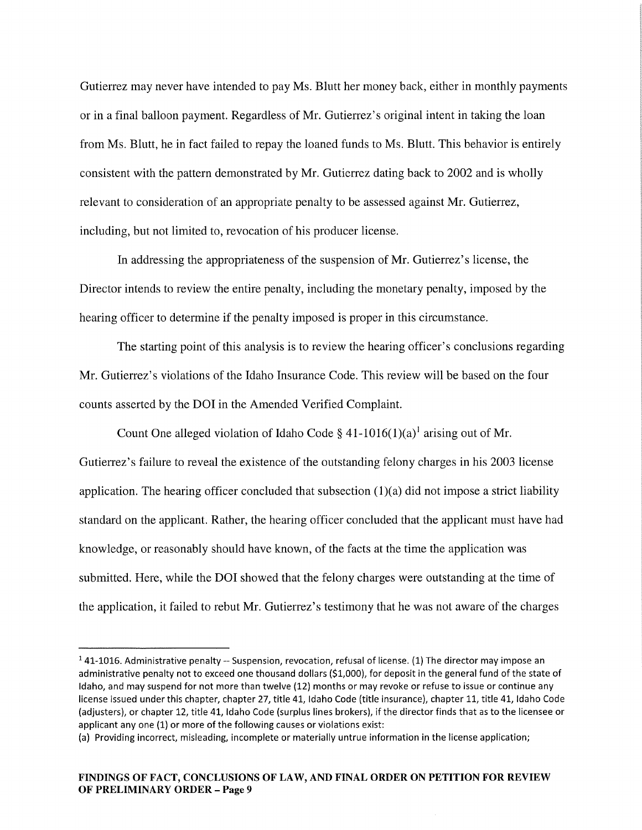Gutierrez may never have intended to pay Ms. Blutt her money back, either in monthly payments or in a final balloon payment. Regardless of Mr. Gutierrez's original intent in taking the loan from Ms. Blutt, he in fact failed to repay the loaned funds to Ms. Blutt. This behavior is entirely consistent with the pattern demonstrated by Mr. Gutierrez dating back to 2002 and is wholly relevant to consideration of an appropriate penalty to be assessed against Mr. Gutierrez, including, but not limited to, revocation of his producer license.

In addressing the appropriateness of the suspension of Mr. Gutierrez's license, the Director intends to review the entire penalty, including the monetary penalty, imposed by the hearing officer to determine if the penalty imposed is proper in this circumstance.

The starting point of this analysis is to review the hearing officer's conclusions regarding Mr. Gutierrez's violations of the Idaho Insurance Code. This review will be based on the four counts asserted by the DOI in the Amended Verified Complaint.

Count One alleged violation of Idaho Code § 41-1016(1)(a)<sup>1</sup> arising out of Mr. Gutierrez's failure to reveal the existence of the outstanding felony charges in his 2003 license application. The hearing officer concluded that subsection  $(1)(a)$  did not impose a strict liability standard on the applicant. Rather, the hearing officer concluded that the applicant must have had knowledge, or reasonably should have known, of the facts at the time the application was submitted. Here, while the DOI showed that the felony charges were outstanding at the time of the application, it failed to rebut Mr. Gutierrez's testimony that he was not aware of the charges

 $141-1016$ . Administrative penalty -- Suspension, revocation, refusal of license. (1) The director may impose an administrative penalty not to exceed one thousand dollars (\$1,000), for deposit in the general fund of the state of Idaho, and may suspend for not more than twelve (12) months or may revoke or refuse to issue or continue any license issued under this chapter, chapter 27, title 41, Idaho Code (title insurance), chapter 11, title 41, Idaho Code (adjusters), or chapter 12, title 41, Idaho Code (surplus lines brokers), if the director finds that as to the licensee or applicant any one (1) or more of the following causes or violations exist:

<sup>(</sup>a) Providing incorrect, misleading, incomplete or materially untrue information in the license application;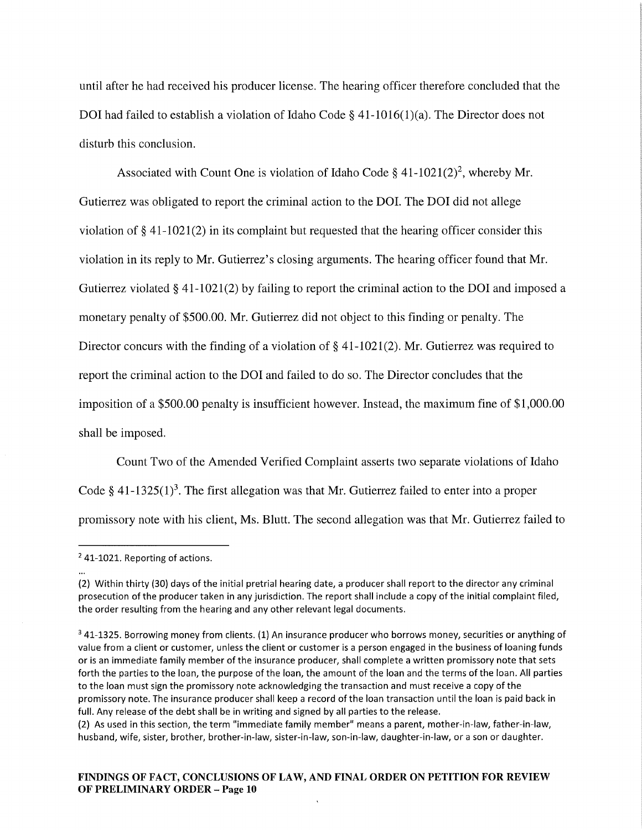until after he had received his producer license. The hearing officer therefore concluded that the DOI had failed to establish a violation of Idaho Code  $\S$  41-1016(1)(a). The Director does not disturb this conclusion.

Associated with Count One is violation of Idaho Code § 41-1021(2)<sup>2</sup>, whereby Mr. Gutierrez was obligated to report the criminal action to the DOI. The DOI did not allege violation of  $\S$  41-1021(2) in its complaint but requested that the hearing officer consider this violation in its reply to Mr. Gutierrez's closing arguments. The hearing officer found that Mr. Gutierrez violated§ 41-1021(2) by failing to report the criminal action to the DOI and imposed a monetary penalty of \$500.00. Mr. Gutierrez did not object to this finding or penalty. The Director concurs with the finding of a violation of § 41-1021(2). Mr. Gutierrez was required to report the criminal action to the DOI and failed to do so. The Director concludes that the imposition of a \$500.00 penalty is insufficient however. Instead, the maximum fine of \$1,000.00 shall be imposed.

Count Two of the Amended Verified Complaint asserts two separate violations of Idaho Code § 41-1325(1)<sup>3</sup>. The first allegation was that Mr. Gutierrez failed to enter into a proper promissory note with his client, Ms. Blutt. The second allegation was that Mr. Gutierrez failed to

<sup>2 41-1021.</sup> Reporting of actions.

<sup>(2)</sup> Within thirty (30) days of the initial pretrial hearing date, a producer shall report to the director any criminal prosecution of the producer taken in any jurisdiction. The report shall include a copy of the initial complaint filed, the order resulting from the hearing and any other relevant legal documents.

<sup>&</sup>lt;sup>3</sup> 41-1325. Borrowing money from clients. (1) An insurance producer who borrows money, securities or anything of value from a client or customer, unless the client or customer is a person engaged in the business of loaning funds or is an immediate family member of the insurance producer, shall complete a written promissory note that sets forth the parties to the loan, the purpose of the loan, the amount of the loan and the terms of the loan. All parties to the loan must sign the promissory note acknowledging the transaction and must receive a copy of the promissory note. The insurance producer shall keep a record of the loan transaction until the loan is paid back in full. Any release of the debt shall be in writing and signed by all parties to the release.

<sup>(2)</sup> As used in this section, the term "immediate family member" means a parent, mother-in-law, father-in-law, husband, wife, sister, brother, brother-in-law, sister-in-law, son-in-law, daughter-in-law, or a son or daughter.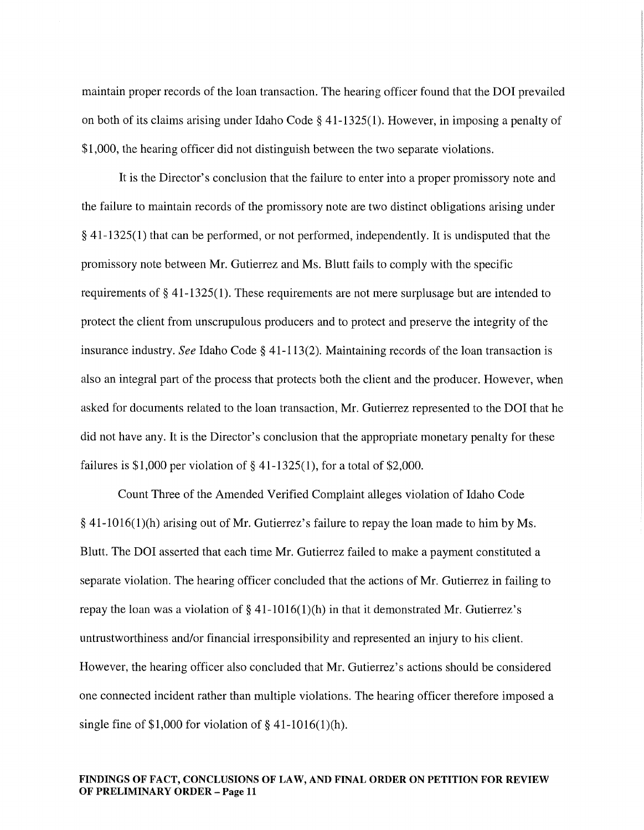maintain proper records of the loan transaction. The hearing officer found that the DOI prevailed on both of its claims arising under Idaho Code§ 41-1325(1). However, in imposing a penalty of \$1,000, the hearing officer did not distinguish between the two separate violations.

It is the Director's conclusion that the failure to enter into a proper promissory note and the failure to maintain records of the promissory note are two distinct obligations arising under § 41-1325(1) that can be performed, or not performed, independently. It is undisputed that the promissory note between Mr. Gutierrez and Ms. Blutt fails to comply with the specific requirements of§ 41-1325(1). These requirements are not mere surplusage but are intended to protect the client from unscrupulous producers and to protect and preserve the integrity of the insurance industry. *See* Idaho Code § 41-113(2). Maintaining records of the loan transaction is also an integral part of the process that protects both the client and the producer. However, when asked for documents related to the loan transaction, Mr. Gutierrez represented to the DOI that he did not have any. It is the Director's conclusion that the appropriate monetary penalty for these failures is \$1,000 per violation of  $\S$  41-1325(1), for a total of \$2,000.

Count Three of the Amended Verified Complaint alleges violation of Idaho Code  $\S 41-1016(1)$ (h) arising out of Mr. Gutierrez's failure to repay the loan made to him by Ms. Blutt. The DOI asserted that each time Mr. Gutierrez failed to make a payment constituted a separate violation. The hearing officer concluded that the actions of Mr. Gutierrez in failing to repay the loan was a violation of  $\S$  41-1016(1)(h) in that it demonstrated Mr. Gutierrez's untrustworthiness and/or financial irresponsibility and represented an injury to his client. However, the hearing officer also concluded that Mr. Gutierrez's actions should be considered one connected incident rather than multiple violations. The hearing officer therefore imposed a single fine of \$1,000 for violation of  $§$  41-1016(1)(h).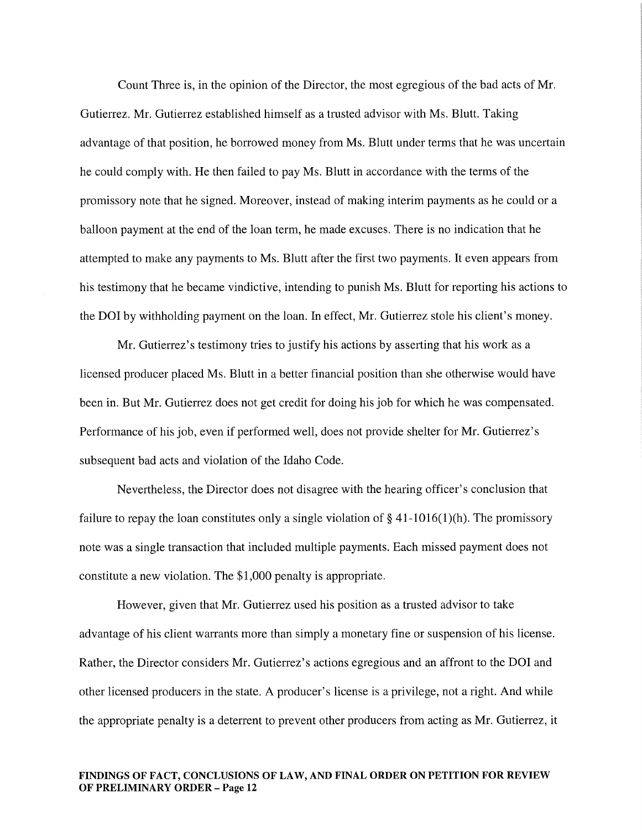Count Three is, in the opinion of the Director, the most egregious of the bad acts of Mr. Gutierrez. Mr. Gutierrez established himself as a trusted advisor with Ms. Blutt. Taking advantage of that position, he borrowed money from Ms. Blutt under terms that he was uncertain he could comply with. He then failed to pay Ms. Blutt in accordance with the terms of the promissory note that he signed. Moreover, instead of making interim payments as he could or a balloon payment at the end of the loan term, he made excuses. There is no indication that he attempted to make any payments to Ms. Blutt after the first two payments. It even appears from his testimony that he became vindictive, intending to punish Ms. Blutt for reporting his actions to the DOI by withholding payment on the loan. In effect, Mr. Gutierrez stole his client's money.

Mr. Gutierrez's testimony tries to justify his actions by asserting that his work as a licensed producer placed Ms. Blutt in a better financial position than she otherwise would have been in. But Mr. Gutierrez does not get credit for doing his job for which he was compensated. Performance of his job, even if performed well, does not provide shelter for Mr. Gutierrez's subsequent bad acts and violation of the Idaho Code.

Nevertheless, the Director does not disagree with the hearing officer's conclusion that failure to repay the loan constitutes only a single violation of  $\S 41$ -1016(1)(h). The promissory note was a single transaction that included multiple payments. Each missed payment does not constitute a new violation. The \$1,000 penalty is appropriate.

However, given that Mr. Gutierrez used his position as a trusted advisor to take advantage of his client warrants more than simply a monetary fine or suspension of his license. Rather, the Director considers Mr. Gutierrez's actions egregious and an affront to the DOI and other licensed producers in the state. A producer's license is a privilege, not a right. And while the appropriate penalty is a deterrent to prevent other producers from acting as Mr. Gutierrez, it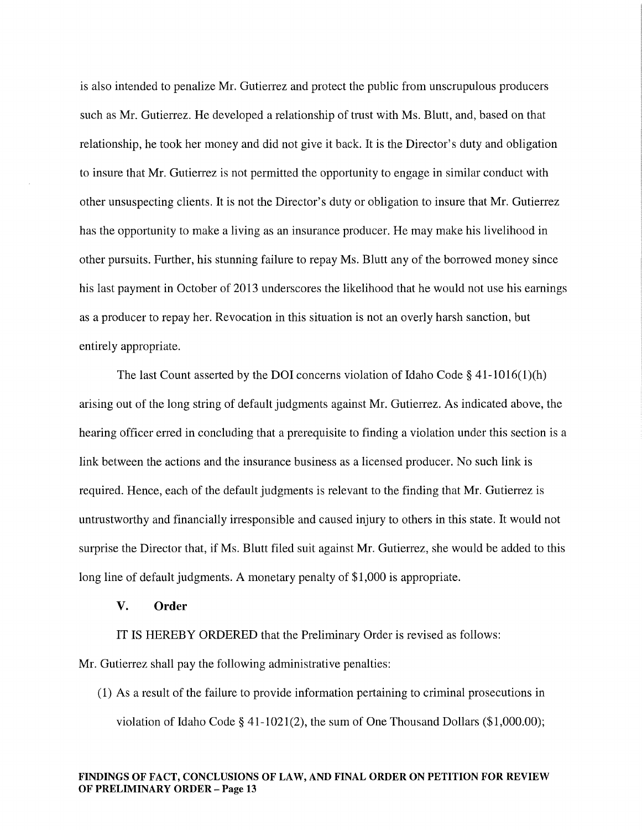is also intended to penalize Mr. Gutierrez and protect the public from unscrupulous producers such as Mr. Gutierrez. He developed a relationship of trust with Ms. Blutt, and, based on that relationship, he took her money and did not give it back. It is the Director's duty and obligation to insure that Mr. Gutierrez is not permitted the opportunity to engage in similar conduct with other unsuspecting clients. It is not the Director's duty or obligation to insure that Mr. Gutierrez has the opportunity to make a living as an insurance producer. He may make his livelihood in other pursuits. Further, his stunning failure to repay Ms. Blutt any of the borrowed money since his last payment in October of 2013 underscores the likelihood that he would not use his earnings as a producer to repay her. Revocation in this situation is not an overly harsh sanction, but entirely appropriate.

The last Count asserted by the DOI concerns violation of Idaho Code § 41-1016(1)(h) arising out of the long string of default judgments against Mr. Gutierrez. As indicated above, the hearing officer erred in concluding that a prerequisite to finding a violation under this section is a link between the actions and the insurance business as a licensed producer. No such link is required. Hence, each of the default judgments is relevant to the finding that Mr. Gutierrez is untrustworthy and financially irresponsible and caused injury to others in this state. It would not surprise the Director that, if Ms. Blutt filed suit against Mr. Gutierrez, she would be added to this long line of default judgments. A monetary penalty of \$1,000 is appropriate.

### V. Order

IT IS HEREBY ORDERED that the Preliminary Order is revised as follows:

Mr. Gutierrez shall pay the following administrative penalties:

(1) As a result of the failure to provide information pertaining to criminal prosecutions in violation of Idaho Code§ 41-1021(2), the sum of One Thousand Dollars (\$1,000.00);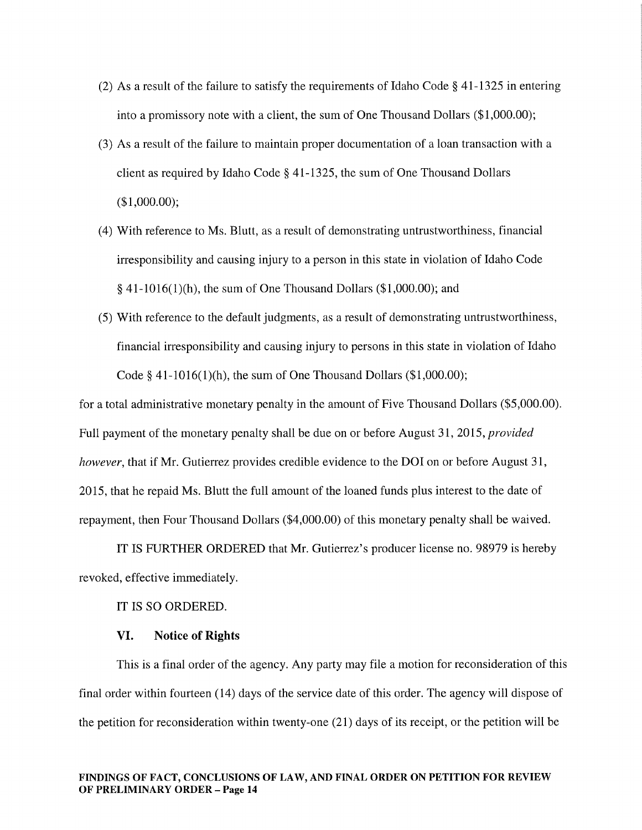- (2) As a result of the failure to satisfy the requirements of Idaho Code § 41-1325 in entering into a promissory note with a client, the sum of One Thousand Dollars (\$1,000.00);
- (3) As a result of the failure to maintain proper documentation of a loan transaction with a client as required by Idaho Code§ 41-1325, the sum of One Thousand Dollars (\$1,000.00);
- (4) With reference to Ms. Blutt, as a result of demonstrating untrustworthiness, financial irresponsibility and causing injury to a person in this state in violation of Idaho Code § 41-1016(1)(h), the sum of One Thousand Dollars (\$1,000.00); and
- (5) With reference to the default judgments, as a result of demonstrating untrustworthiness, financial irresponsibility and causing injury to persons in this state in violation of Idaho Code § 41-1016(1)(h), the sum of One Thousand Dollars  $(\$1,000.00)$ ;

for a total administrative monetary penalty in the amount of Five Thousand Dollars (\$5,000.00). Full payment of the monetary penalty shall be due on or before August 31, 2015, *provided however,* that if Mr. Gutierrez provides credible evidence to the DOI on or before August 31, 2015, that he repaid Ms. Blutt the full amount of the loaned funds plus interest to the date of repayment, then Four Thousand Dollars (\$4,000.00) of this monetary penalty shall be waived.

IT IS FURTHER ORDERED that Mr. Gutierrez's producer license no. 98979 is hereby revoked, effective immediately.

IT IS SO ORDERED.

### VI. Notice of Rights

This is a final order of the agency. Any party may file a motion for reconsideration of this final order within fourteen ( 14) days of the service date of this order. The agency will dispose of the petition for reconsideration within twenty-one (21) days of its receipt, or the petition will be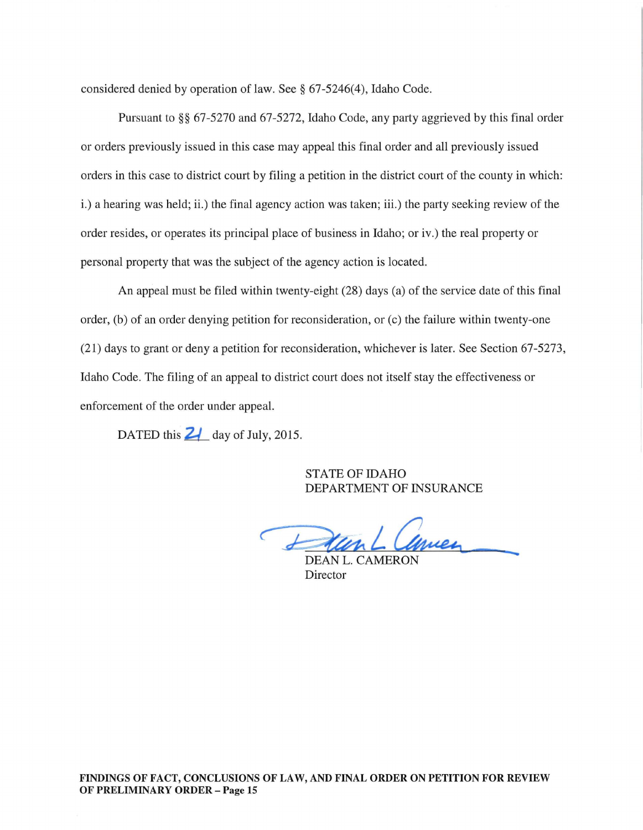considered denied by operation of law. See§ 67-5246(4), Idaho Code.

Pursuant to §§ 67-5270 and 67-5272, Idaho Code, any party aggrieved by this final order or orders previously issued in this case may appeal this final order and all previously issued orders in this case to district court by filing a petition in the district court of the county in which: i.) a hearing was held; ii.) the final agency action was taken; iii.) the party seeking review of the order resides, or operates its principal place of business in Idaho; or iv.) the real property or personal property that was the subject of the agency action is located.

An appeal must be filed within twenty-eight (28) days (a) of the service date of this final order, (b) of an order denying petition for reconsideration, or (c) the failure within twenty-one (21) days to grant or deny a petition for reconsideration, whichever is later. See Section 67-5273, Idaho Code. The filing of an appeal to district court does not itself stay the effectiveness or enforcement of the order under appeal.

DATED this  $\frac{2}{4}$  day of July, 2015.

STATE OF IDAHO DEPARTMENT OF INSURANCE

DEAN L. COMMEN

Director